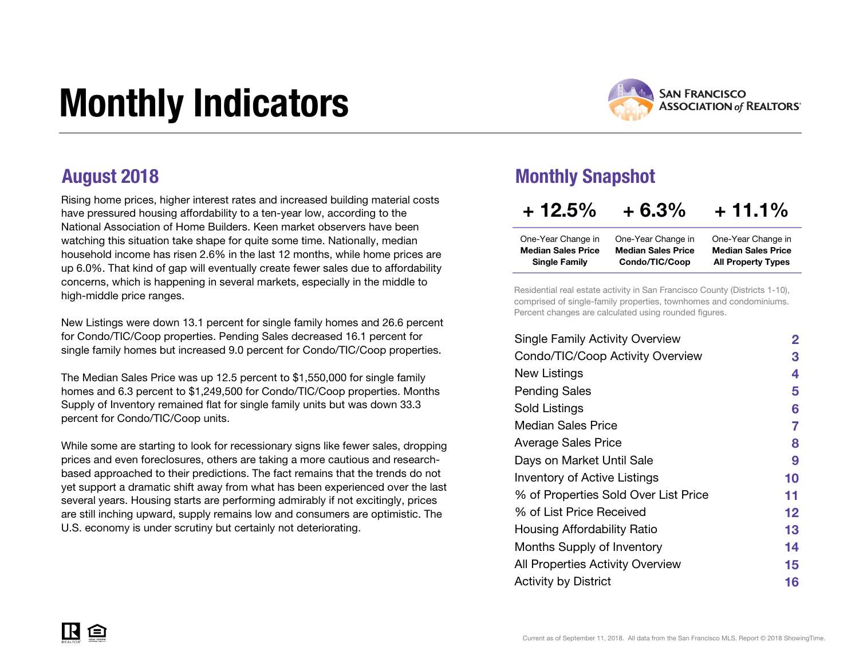# Monthly Indicators



Rising home prices, higher interest rates and increased building material costs have pressured housing affordability to a ten-year low, according to the National Association of Home Builders. Keen market observers have been watching this situation take shape for quite some time. Nationally, median household income has risen 2.6% in the last 12 months, while home prices are up 6.0%. That kind of gap will eventually create fewer sales due to affordability concerns, which is happening in several markets, especially in the middle to high-middle price ranges.

New Listings were down 13.1 percent for single family homes and 26.6 percent for Condo/TIC/Coop properties. Pending Sales decreased 16.1 percent for single family homes but increased 9.0 percent for Condo/TIC/Coop properties.

The Median Sales Price was up 12.5 percent to \$1,550,000 for single family homes and 6.3 percent to \$1,249,500 for Condo/TIC/Coop properties. Months Supply of Inventory remained flat for single family units but was down 33.3 percent for Condo/TIC/Coop units.

While some are starting to look for recessionary signs like fewer sales, dropping prices and even foreclosures, others are taking a more cautious and researchbased approached to their predictions. The fact remains that the trends do not yet support a dramatic shift away from what has been experienced over the last several years. Housing starts are performing admirably if not excitingly, prices are still inching upward, supply remains low and consumers are optimistic. The U.S. economy is under scrutiny but certainly not deteriorating.

#### August 2018 Monthly Snapshot

| $+12.5%$                  | $+6.3%$                   | $+11.1\%$                 |
|---------------------------|---------------------------|---------------------------|
| One-Year Change in        | One-Year Change in        | One-Year Change in        |
| <b>Median Sales Price</b> | <b>Median Sales Price</b> | <b>Median Sales Price</b> |
| <b>Single Family</b>      | Condo/TIC/Coop            | <b>All Property Types</b> |

Residential real estate activity in San Francisco County (Districts 1-10), comprised of single-family properties, townhomes and condominiums. Percent changes are calculated using rounded figures.

| <b>Single Family Activity Overview</b>  | $\mathbf{2}$ |
|-----------------------------------------|--------------|
| Condo/TIC/Coop Activity Overview        | З            |
| New Listings                            | 4            |
| <b>Pending Sales</b>                    | 5            |
| Sold Listings                           | 6            |
| <b>Median Sales Price</b>               | 7            |
| <b>Average Sales Price</b>              | 8            |
| Days on Market Until Sale               | 9            |
| <b>Inventory of Active Listings</b>     | 10           |
| % of Properties Sold Over List Price    | 11           |
| % of List Price Received                | 12           |
| Housing Affordability Ratio             | 13           |
| Months Supply of Inventory              | 14           |
| <b>All Properties Activity Overview</b> | 15           |
| <b>Activity by District</b>             | 16           |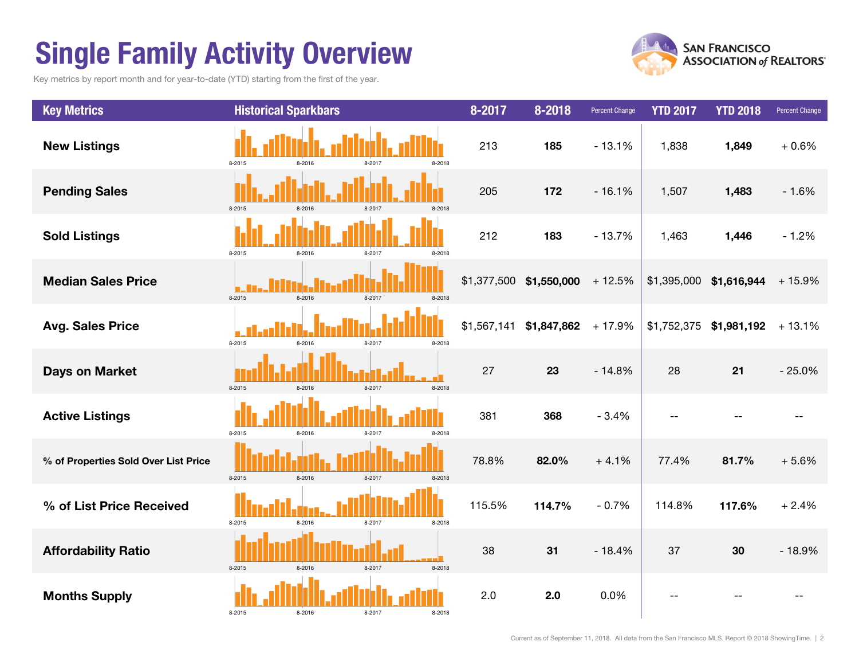### Single Family Activity Overview

Key metrics by report month and for year-to-date (YTD) starting from the first of the year.



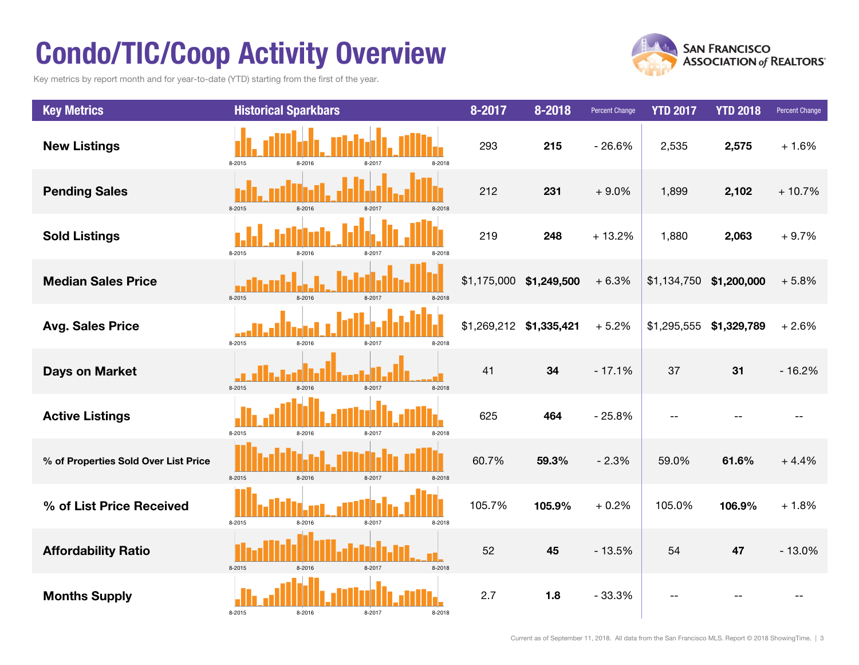### Condo/TIC/Coop Activity Overview

Key metrics by report month and for year-to-date (YTD) starting from the first of the year.



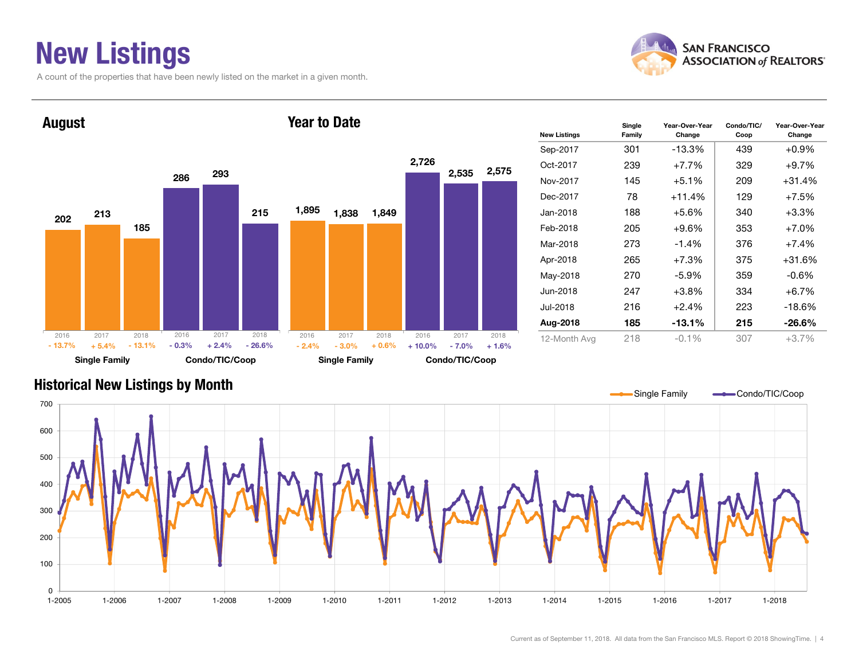### New Listings

A count of the properties that have been newly listed on the market in a given month.





| <b>New Listings</b> | Single<br>Family | Year-Over-Year<br>Change | Condo/TIC/<br>Coop | Year-Over-Year<br>Change |
|---------------------|------------------|--------------------------|--------------------|--------------------------|
| Sep-2017            | 301              | $-13.3%$                 | 439                | $+0.9\%$                 |
| Oct-2017            | 239              | $+7.7%$                  | 329                | $+9.7%$                  |
| Nov-2017            | 145              | $+5.1\%$                 | 209                | +31.4%                   |
| Dec-2017            | 78               | $+11.4%$                 | 129                | $+7.5%$                  |
| Jan-2018            | 188              | $+5.6%$                  | 340                | $+3.3%$                  |
| Feb-2018            | 205              | $+9.6\%$                 | 353                | $+7.0%$                  |
| Mar-2018            | 273              | $-1.4%$                  | 376                | $+7.4%$                  |
| Apr-2018            | 265              | $+7.3%$                  | 375                | +31.6%                   |
| May-2018            | 270              | $-5.9\%$                 | 359                | $-0.6\%$                 |
| Jun-2018            | 247              | $+3.8%$                  | 334                | $+6.7%$                  |
| Jul-2018            | 216              | $+2.4%$                  | 223                | $-18.6%$                 |
| Aug-2018            | 185              | $-13.1%$                 | 215                | $-26.6\%$                |
| 12-Month Avg        | 218              | $-0.1\%$                 | 307                | $+3.7%$                  |

#### Historical New Listings by Month

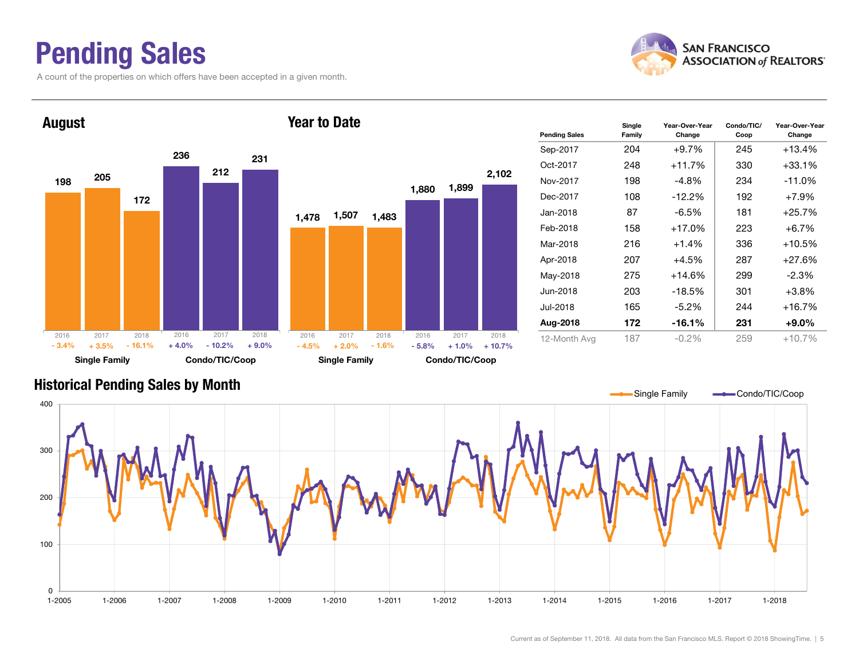### Pending Sales

A count of the properties on which offers have been accepted in a given month.



Change



#### Historical Pending Sales by Month

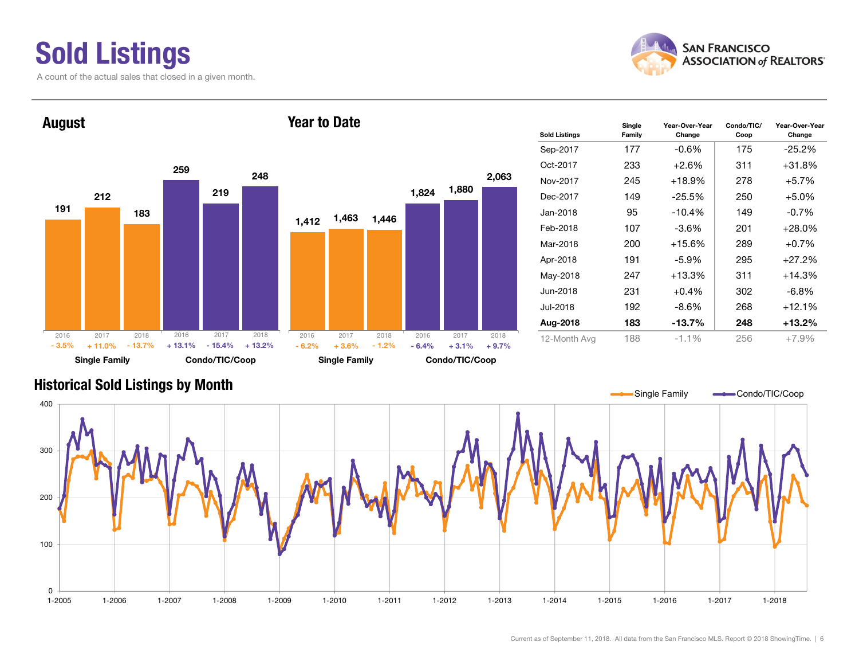## Sold Listings

A count of the actual sales that closed in a given month.





| <b>Sold Listings</b> | Single<br>Family | Year-Over-Year<br>Change | Condo/TIC/<br>Coop | Year-Over-Year<br>Change |
|----------------------|------------------|--------------------------|--------------------|--------------------------|
| Sep-2017             | 177              | $-0.6%$                  | 175                | $-25.2\%$                |
| Oct-2017             | 233              | $+2.6%$                  | 311                | +31.8%                   |
| Nov-2017             | 245              | $+18.9%$                 | 278                | $+5.7%$                  |
| Dec-2017             | 149              | $-25.5%$                 | 250                | $+5.0%$                  |
| Jan-2018             | 95               | $-10.4%$                 | 149                | $-0.7%$                  |
| Feb-2018             | 107              | $-3.6%$                  | 201                | $+28.0\%$                |
| Mar-2018             | 200              | $+15.6%$                 | 289                | $+0.7%$                  |
| Apr-2018             | 191              | $-5.9\%$                 | 295                | $+27.2%$                 |
| May-2018             | 247              | $+13.3%$                 | 311                | +14.3%                   |
| Jun-2018             | 231              | $+0.4\%$                 | 302                | -6.8%                    |
| Jul-2018             | 192              | $-8.6\%$                 | 268                | $+12.1%$                 |
| Aug-2018             | 183              | $-13.7%$                 | 248                | +13.2%                   |
| 12-Month Avg         | 188              | $-1.1%$                  | 256                | $+7.9%$                  |

#### Historical Sold Listings by Month

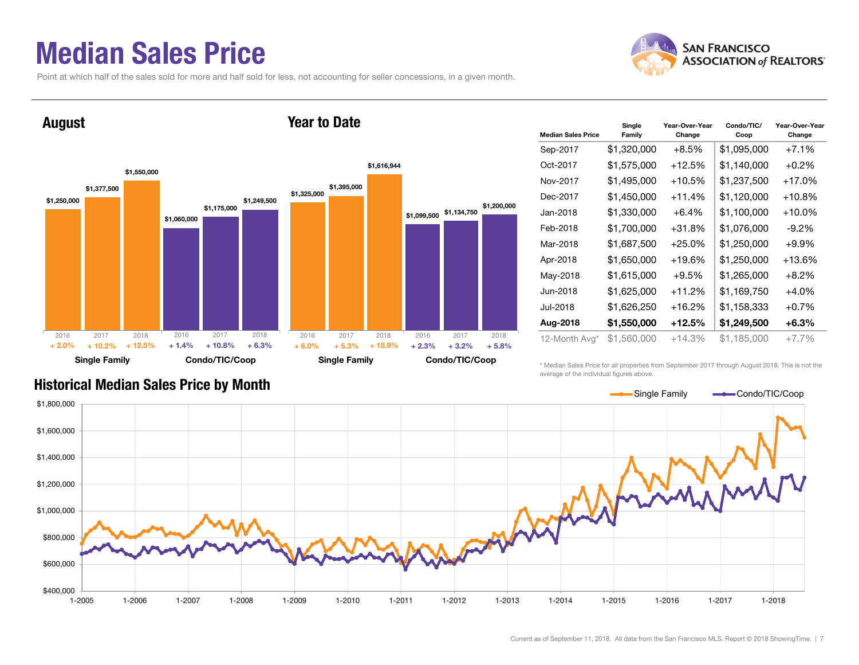#### Median Sales Price

August

Point at which half of the sales sold for more and half sold for less, not accounting for seller concessions, in a given month.

Year to Date



#### \$1,250,000 \$1,060,000 \$1,377,500 \$1,175,000 \$1,550,000 \$1,249,500 Single Family Condo/TIC/Coop \$1,325,000 \$1,099,500 \$1,134,750 \$1,395,000 \$1,616,944 \$1,200,000 Single Family Condo/TIC/Coop 2016 2017 2018 $\%$  + 10.2% + 12.5% + 1.4% + 10.8% + 6.3% + 6.0% + 5.3% + 15.9% + 2.3% + 3.2%  $+3.2\%$   $+5.8\%$ 2016 2017 2018 2016 2017 2018 2016 2017 2018  $+ 2.0%$  $+ 6.0\%$   $+ 5.3\%$   $+ 15.9\%$   $+ 2.3\%$

| <b>Median Sales Price</b> | Single<br>Family | Year-Over-Year<br>Change | Condo/TIC/<br>Coop | Year-Over-Year<br>Change |
|---------------------------|------------------|--------------------------|--------------------|--------------------------|
| Sep-2017                  | \$1,320,000      | $+8.5%$                  | \$1,095,000        | $+7.1%$                  |
| Oct-2017                  | \$1,575,000      | +12.5%                   | \$1,140,000        | $+0.2%$                  |
| Nov-2017                  | \$1,495,000      | $+10.5%$                 | \$1,237,500        | $+17.0%$                 |
| Dec-2017                  | \$1,450,000      | $+11.4%$                 | \$1,120,000        | $+10.8%$                 |
| Jan-2018                  | \$1,330,000      | $+6.4%$                  | \$1,100,000        | $+10.0\%$                |
| Feb-2018                  | \$1,700,000      | $+31.8%$                 | \$1,076,000        | -9.2%                    |
| Mar-2018                  | \$1,687,500      | $+25.0%$                 | \$1,250,000        | $+9.9%$                  |
| Apr-2018                  | \$1,650,000      | $+19.6%$                 | \$1,250,000        | $+13.6%$                 |
| May-2018                  | \$1,615,000      | $+9.5%$                  | \$1,265,000        | $+8.2\%$                 |
| Jun-2018                  | \$1,625,000      | $+11.2%$                 | \$1,169,750        | $+4.0%$                  |
| Jul-2018                  | \$1,626,250      | $+16.2%$                 | \$1,158,333        | $+0.7%$                  |
| Aug-2018                  | \$1,550,000      | $+12.5%$                 | \$1,249,500        | $+6.3\%$                 |
| 12-Month Avg*             | \$1,560,000      | +14.3%                   | \$1,185,000        | $+7.7%$                  |

\* Median Sales Price for all properties from September 2017 through August 2018. This is not the average of the individual figures above.



#### Historical Median Sales Price by Month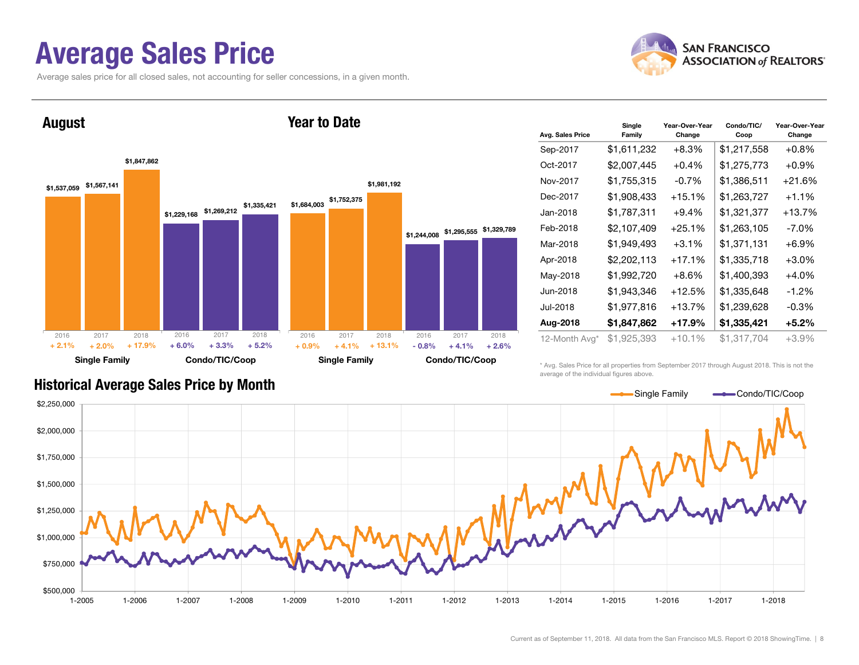#### Average Sales Price

Average sales price for all closed sales, not accounting for seller concessions, in a given month.





| Avg. Sales Price | Single<br>Family | Year-Over-Year<br>Change | Condo/TIC/<br>Coop | Year-Over-Year<br>Change |
|------------------|------------------|--------------------------|--------------------|--------------------------|
| Sep-2017         | \$1,611,232      | $+8.3%$                  | \$1,217,558        | $+0.8\%$                 |
| Oct-2017         | \$2,007,445      | $+0.4%$                  | \$1,275,773        | $+0.9\%$                 |
| Nov-2017         | \$1,755,315      | $-0.7%$                  | \$1,386,511        | $+21.6%$                 |
| Dec-2017         | \$1,908,433      | $+15.1%$                 | \$1,263,727        | $+1.1\%$                 |
| Jan-2018         | \$1,787,311      | $+9.4%$                  | \$1,321,377        | $+13.7%$                 |
| Feb-2018         | \$2,107,409      | $+25.1%$                 | \$1,263,105        | $-7.0\%$                 |
| Mar-2018         | \$1,949,493      | $+3.1\%$                 | \$1,371,131        | $+6.9\%$                 |
| Apr-2018         | \$2,202,113      | $+17.1%$                 | \$1,335,718        | $+3.0%$                  |
| May-2018         | \$1,992,720      | $+8.6\%$                 | \$1,400,393        | $+4.0\%$                 |
| Jun-2018         | \$1,943,346      | $+12.5%$                 | \$1,335,648        | $-1.2\%$                 |
| Jul-2018         | \$1,977,816      | $+13.7%$                 | \$1,239,628        | $-0.3\%$                 |
| Aug-2018         | \$1,847,862      | $+17.9%$                 | \$1,335,421        | $+5.2%$                  |
| 12-Month Avg*    | \$1,925,393      | $+10.1%$                 | \$1,317,704        | $+3.9%$                  |

#### Historical Average Sales Price by Month

\* Avg. Sales Price for all properties from September 2017 through August 2018. This is not the average of the individual figures above.

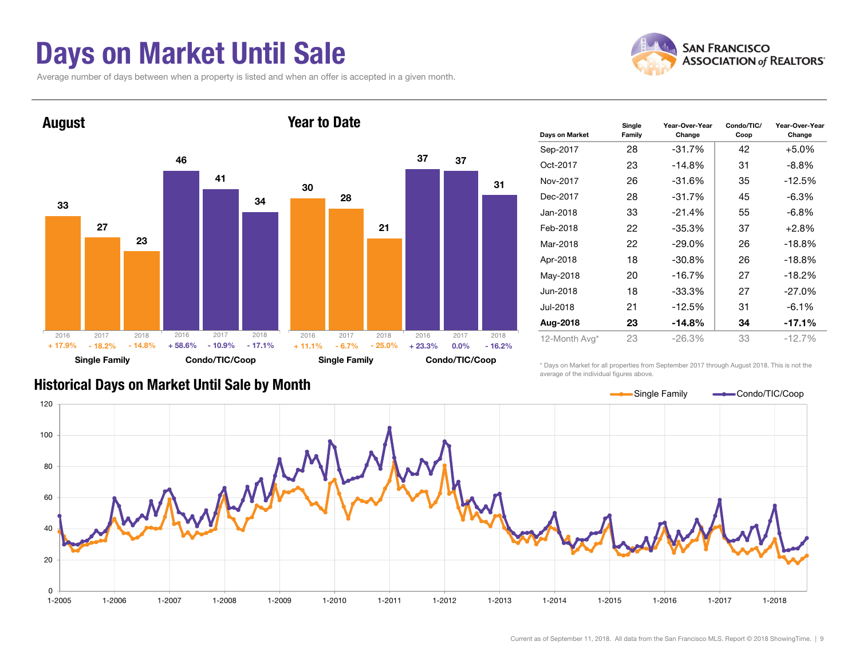### Days on Market Until Sale

Average number of days between when a property is listed and when an offer is accepted in a given month.





| Days on Market | Single<br>Family | Year-Over-Year<br>Change | Condo/TIC/<br>Coop | Year-Over-Year<br>Change |
|----------------|------------------|--------------------------|--------------------|--------------------------|
| Sep-2017       | 28               | $-31.7%$                 | 42                 | $+5.0%$                  |
| Oct-2017       | 23               | $-14.8%$                 | 31                 | $-8.8\%$                 |
| Nov-2017       | 26               | $-31.6%$                 | 35                 | $-12.5%$                 |
| Dec-2017       | 28               | $-31.7%$<br>45           |                    | $-6.3\%$                 |
| Jan-2018       | 33               | $-21.4%$                 | 55                 | $-6.8\%$                 |
| Feb-2018       | 22               | $-35.3%$                 | 37                 | $+2.8%$                  |
| Mar-2018       | 22               | $-29.0\%$                | 26                 | $-18.8%$                 |
| Apr-2018       | 18               | $-30.8%$                 | 26                 | $-18.8%$                 |
| May-2018       | 20               | $-16.7%$                 | 27                 | $-18.2%$                 |
| Jun-2018       | 18               | $-33.3%$                 | 27                 | $-27.0\%$                |
| Jul-2018       | 21               | $-12.5%$                 | 31                 | $-6.1\%$                 |
| Aug-2018       | 23               | $-14.8%$                 | 34                 | $-17.1%$                 |
| 12-Month Avg*  | 23               | $-26.3%$                 | 33                 | $-12.7%$                 |

\* Days on Market for all properties from September 2017 through August 2018. This is not the average of the individual figures above.



#### Historical Days on Market Until Sale by Month

Current as of September 11, 2018. All data from the San Francisco MLS. Report © 2018 ShowingTime. | 9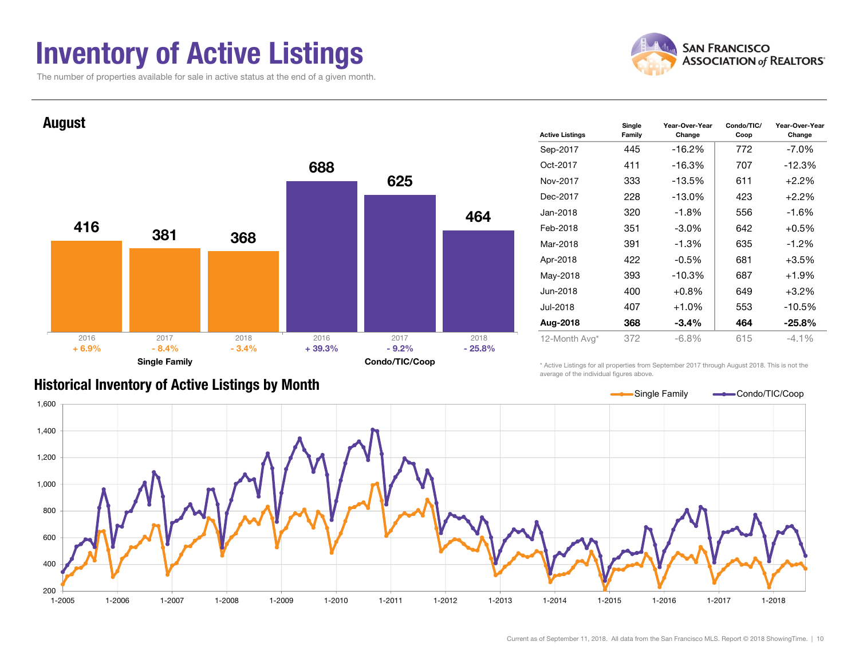### Inventory of Active Listings

The number of properties available for sale in active status at the end of a given month.





| <b>Active Listings</b> | Single<br>Family | Year-Over-Year<br>Change | Condo/TIC/<br>Coop | Year-Over-Year<br>Change |
|------------------------|------------------|--------------------------|--------------------|--------------------------|
| Sep-2017               | 445              | -16.2%                   | 772                | $-7.0%$                  |
| Oct-2017               | 411              | -16.3%                   | 707                | $-12.3%$                 |
| Nov-2017               | 333              | -13.5%                   | 611                | $+2.2%$                  |
| Dec-2017               | 228              | $-13.0%$                 | 423                | $+2.2%$                  |
| Jan-2018               | 320              | $-1.8%$                  | 556                | -1.6%                    |
| Feb-2018               | 351              | $-3.0\%$                 | 642                | $+0.5%$                  |
| Mar-2018               | 391              | $-1.3%$                  | 635                | $-1.2\%$                 |
| Apr-2018               | 422              | $-0.5%$                  | 681                | $+3.5%$                  |
| May-2018               | 393              | -10.3%                   | 687                | $+1.9%$                  |
| Jun-2018               | 400              | $+0.8\%$                 | 649                | $+3.2%$                  |
| Jul-2018               | 407              | $+1.0%$                  | 553                | $-10.5%$                 |
| Aug-2018               | 368              | $-3.4%$                  | 464                | $-25.8%$                 |
| 12-Month Avg*          | 372              | $-6.8\%$                 | 615                | $-4.1\%$                 |

#### Historical Inventory of Active Listings by Month

\* Active Listings for all properties from September 2017 through August 2018. This is not the average of the individual figures above.

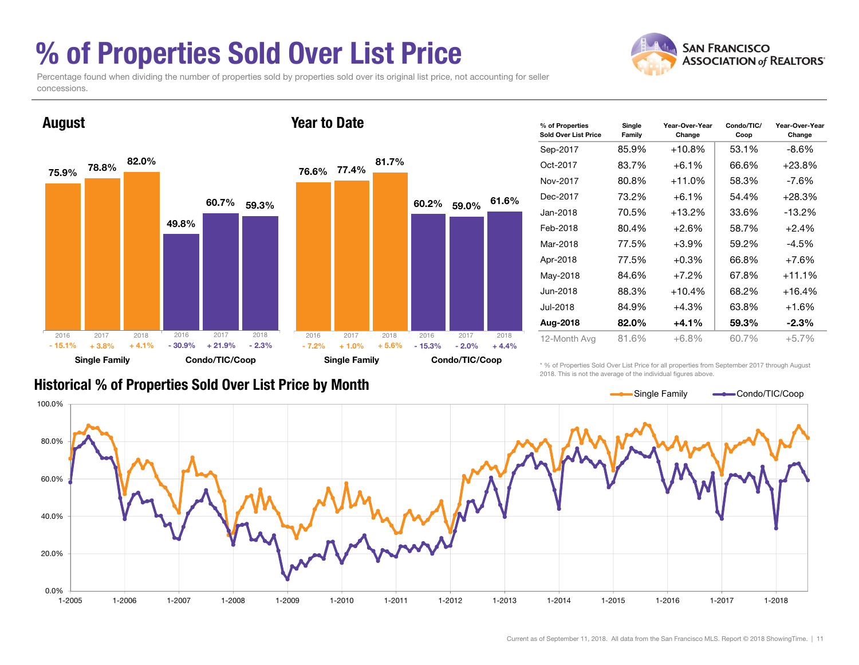### % of Properties Sold Over List Price



Percentage found when dividing the number of properties sold by properties sold over its original list price, not accounting for seller concessions.



| % of Properties<br>Sold Over List Price | Single<br>Family | Year-Over-Year<br>Change | Condo/TIC/<br>Coop | Year-Over-Year<br>Change |
|-----------------------------------------|------------------|--------------------------|--------------------|--------------------------|
| Sep-2017                                | 85.9%            | $+10.8%$                 | 53.1%              | -8.6%                    |
| Oct-2017                                | 83.7%            | $+6.1%$                  | 66.6%              | $+23.8%$                 |
| Nov-2017                                | 80.8%            | $+11.0%$                 | 58.3%              | -7.6%                    |
| Dec-2017                                | 73.2%            | $+6.1%$                  | 54.4%              | $+28.3%$                 |
| Jan-2018                                | 70.5%            | $+13.2%$                 | 33.6%              | $-13.2%$                 |
| Feb-2018                                | 80.4%            | $+2.6%$                  | 58.7%              | $+2.4%$                  |
| Mar-2018                                | 77.5%            | $+3.9%$                  | 59.2%              | $-4.5%$                  |
| Apr-2018                                | 77.5%            | $+0.3%$                  | 66.8%              | $+7.6%$                  |
| May-2018                                | 84.6%            | $+7.2%$                  | 67.8%              | $+11.1%$                 |
| Jun-2018                                | 88.3%            | $+10.4%$                 | 68.2%              | $+16.4%$                 |
| Jul-2018                                | 84.9%            | $+4.3%$                  | 63.8%              | $+1.6%$                  |
| Aug-2018                                | 82.0%            | $+4.1%$                  | 59.3%              | $-2.3%$                  |
| 12-Month Avg                            | 81.6%            | $+6.8%$                  | 60.7%              | $+5.7%$                  |

#### Historical % of Properties Sold Over List Price by Month

\* % of Properties Sold Over List Price for all properties from September 2017 through August 2018. This is not the average of the individual figures above.

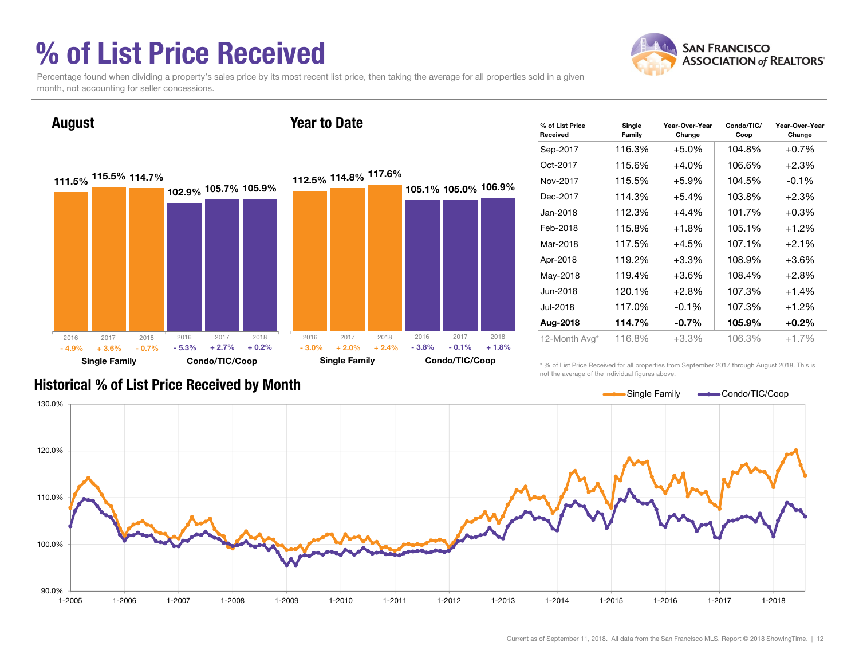### % of List Price Received

August



Percentage found when dividing a property's sales price by its most recent list price, then taking the average for all properties sold in a given month, not accounting for seller concessions.

Year to Date

111.5% 115.5% 114.7% 102.9% <sup>105.7%</sup> 105.9% Single Family Condo/TIC/Coop 112.5% 114.8% 117.6% 105.1% 105.0% 106.9% Single Family Condo/TIC/Coop 2016 2017 2018  $\%$  + 3.6% - 0.7% - 5.3%  $-0.7\%$   $-5.3\%$   $+2.7\%$   $+0.2\%$ 2016 2017 2018 - 4.9%2016 2017 2018  $\%$  + 2.0% + 2.4% - 3.8%  $+ 2.4\%$  - 3.8% - 0.1% + 1.8% 2016 2017 2018 - 3.0%

| % of List Price<br>Received | Single<br>Family | Year-Over-Year<br>Change | Condo/TIC/<br>Coop | Year-Over-Year<br>Change |
|-----------------------------|------------------|--------------------------|--------------------|--------------------------|
| Sep-2017                    | 116.3%           | $+5.0%$                  | 104.8%             | $+0.7%$                  |
| Oct-2017                    | 115.6%           | $+4.0%$                  | 106.6%             | $+2.3%$                  |
| Nov-2017                    | 115.5%           | $+5.9\%$                 | 104.5%             | $-0.1%$                  |
| Dec-2017                    | 114.3%           | $+5.4\%$                 | 103.8%             | $+2.3%$                  |
| Jan-2018                    | 112.3%           | $+4.4%$                  | 101.7%             | $+0.3%$                  |
| Feb-2018                    | 115.8%           | $+1.8%$                  | 105.1%             | $+1.2%$                  |
| Mar-2018                    | 117.5%           | $+4.5%$                  | 107.1%             | $+2.1%$                  |
| Apr-2018                    | 119.2%           | $+3.3%$                  | 108.9%             | $+3.6%$                  |
| May-2018                    | 119.4%           | $+3.6%$                  | 108.4%             | $+2.8%$                  |
| Jun-2018                    | 120.1%           | $+2.8%$                  | 107.3%             | $+1.4%$                  |
| Jul-2018                    | 117.0%           | 107.3%<br>$-0.1%$        |                    | $+1.2%$                  |
| Aug-2018                    | 114.7%           | $-0.7\%$                 | 105.9%             | $+0.2%$                  |
| 12-Month Avg*               | 116.8%           | $+3.3%$                  | 106.3%             | $+1.7%$                  |

\* % of List Price Received for all properties from September 2017 through August 2018. This is not the average of the individual figures above.



#### Historical % of List Price Received by Month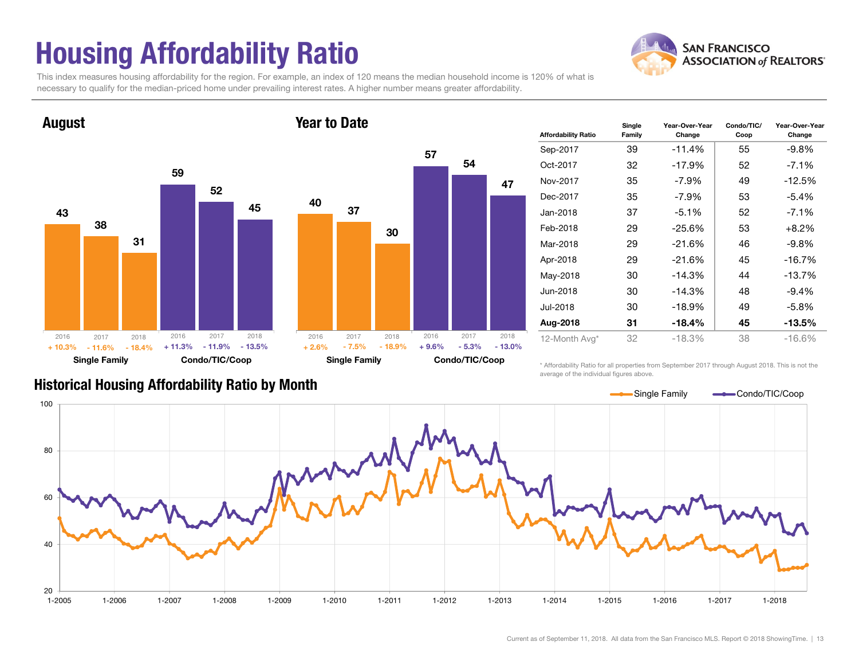### Housing Affordability Ratio

**SAN FRANCISCO ASSOCIATION of REALTORS'** 

This index measures housing affordability for the region. For example, an index of 120 means the median household income is 120% of what is necessary to qualify for the median-priced home under prevailing interest rates. A higher number means greater affordability.





| <b>Affordability Ratio</b> | Single<br>Family | Year-Over-Year<br>Change | Condo/TIC/<br>Coop | Year-Over-Year<br>Change |
|----------------------------|------------------|--------------------------|--------------------|--------------------------|
| Sep-2017                   | 39               | $-11.4%$                 | 55                 | $-9.8%$                  |
| Oct-2017                   | 32               | $-17.9%$                 | 52                 | $-7.1\%$                 |
| Nov-2017                   | 35               | $-7.9\%$                 | 49                 | $-12.5%$                 |
| Dec-2017                   | 35               | -7.9%                    | 53                 | $-5.4%$                  |
| Jan-2018                   | 37               | $-5.1%$                  | 52                 | $-7.1\%$                 |
| Feb-2018                   | 29               | $-25.6%$                 | 53                 | $+8.2%$                  |
| Mar-2018                   | 29               | $-21.6%$                 | 46                 | $-9.8\%$                 |
| Apr-2018                   | 29               | $-21.6%$                 | 45                 | $-16.7%$                 |
| May-2018                   | 30               | $-14.3%$                 | 44                 | $-13.7%$                 |
| Jun-2018                   | 30               | $-14.3%$                 | 48                 | $-9.4%$                  |
| Jul-2018                   | 30               | $-18.9%$                 | 49                 | -5.8%                    |
| Aug-2018                   | 31               | $-18.4%$                 | 45                 | $-13.5\%$                |
| 12-Month Avg*              | 32               | $-18.3%$                 | 38                 | $-16.6\%$                |

#### Historical Housing Affordability Ratio by Month

\* Affordability Ratio for all properties from September 2017 through August 2018. This is not the average of the individual figures above.

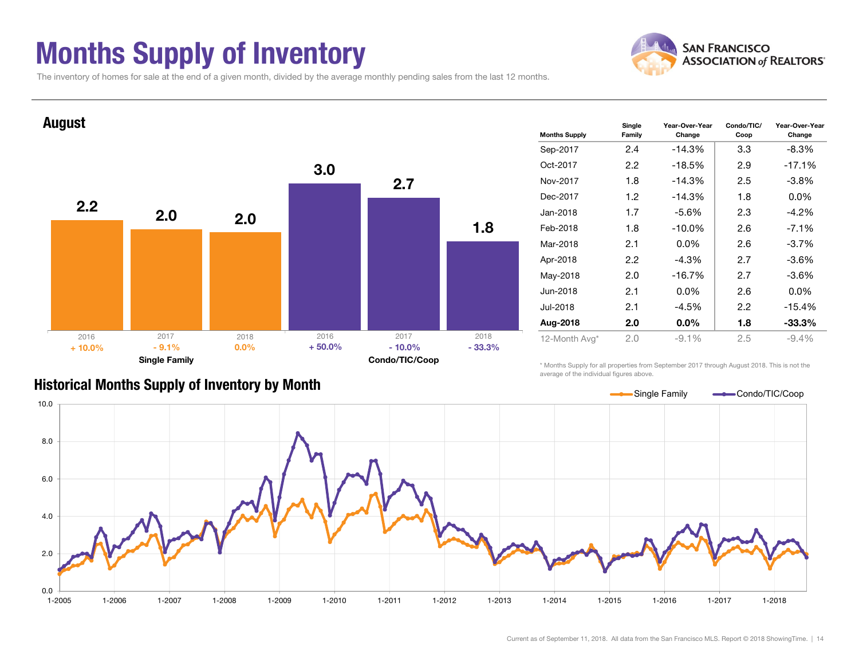### Months Supply of Inventory



Year-Over-Year Change

The inventory of homes for sale at the end of a given month, divided by the average monthly pending sales from the last 12 months.



#### Historical Months Supply of Inventory by Month

\* Months Supply for all properties from September 2017 through August 2018. This is not the average of the individual figures above.

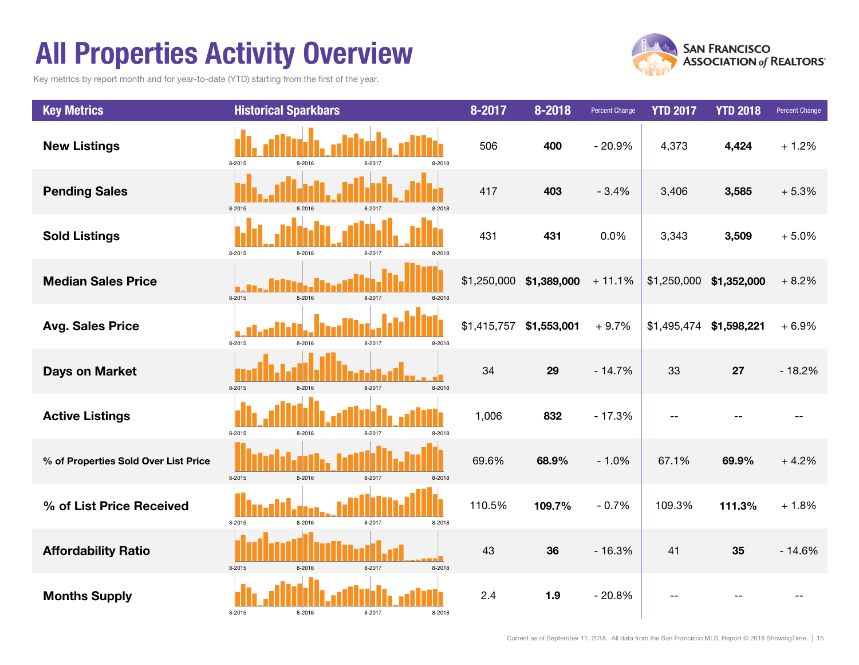### All Properties Activity Overview

Key metrics by report month and for year-to-date (YTD) starting from the first of the year.